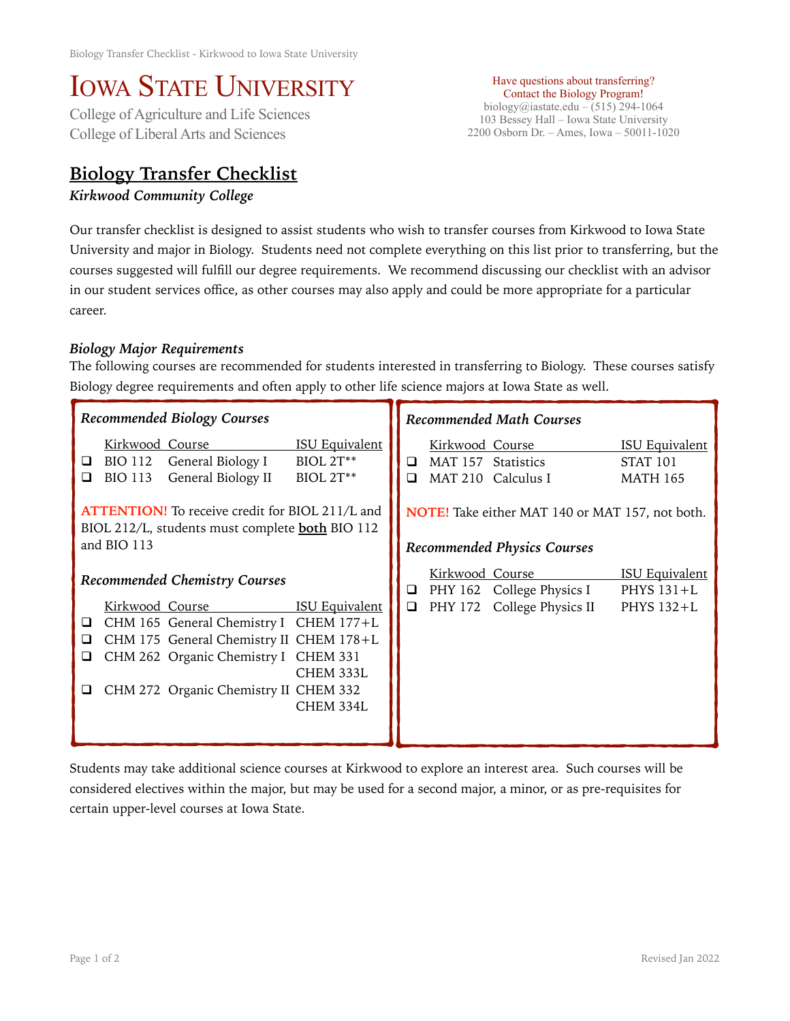## IOWA STATE UNIVERSITY<br>College of Agriculture and Life Sciences

College of Liberal Arts and Sciences

## **Biology Transfer Checklist**

*Kirkwood Community College* 

Have questions about transferring? Contact the Biology Program! biology@iastate.edu – (515) 294-1064 103 Bessey Hall – Iowa State University 2200 Osborn Dr. – Ames, Iowa – 50011-1020

Our transfer checklist is designed to assist students who wish to transfer courses from Kirkwood to Iowa State University and major in Biology. Students need not complete everything on this list prior to transferring, but the courses suggested will fulfill our degree requirements. We recommend discussing our checklist with an advisor in our student services office, as other courses may also apply and could be more appropriate for a particular career.

## *Biology Major Requirements*

The following courses are recommended for students interested in transferring to Biology. These courses satisfy Biology degree requirements and often apply to other life science majors at Iowa State as well.

| <b>Recommended Biology Courses</b>                                                                                                                                                                                                                                                              | <b>Recommended Math Courses</b>                                                                                                                  |  |
|-------------------------------------------------------------------------------------------------------------------------------------------------------------------------------------------------------------------------------------------------------------------------------------------------|--------------------------------------------------------------------------------------------------------------------------------------------------|--|
| <b>ISU Equivalent</b><br>Kirkwood Course<br>General Biology I<br>$BIOL 2T**$<br>BIO 112<br>⊔<br>General Biology II<br>BIOL 2T**<br><b>BIO 113</b><br>◻                                                                                                                                          | <b>ISU Equivalent</b><br>Kirkwood Course<br>MAT 157 Statistics<br><b>STAT 101</b><br>◻<br>MAT 210 Calculus I<br><b>MATH 165</b><br>□             |  |
| <b>ATTENTION!</b> To receive credit for BIOL 211/L and<br>BIOL 212/L, students must complete <b>both</b> BIO 112<br>and BIO 113                                                                                                                                                                 | NOTE! Take either MAT 140 or MAT 157, not both.<br><b>Recommended Physics Courses</b>                                                            |  |
| <b>Recommended Chemistry Courses</b><br>Kirkwood Course<br><b>ISU Equivalent</b><br>CHM 165 General Chemistry I CHEM 177+L<br>⊔<br>CHM 175 General Chemistry II CHEM 178+L<br>⊔<br>CHM 262 Organic Chemistry I CHEM 331<br>□<br>CHEM 333L<br>CHM 272 Organic Chemistry II CHEM 332<br>CHEM 334L | <b>ISU Equivalent</b><br>Kirkwood Course<br>PHY 162 College Physics I<br>PHYS $131+L$<br>❏<br>$\Box$<br>PHY 172 College Physics II<br>PHYS 132+L |  |

Students may take additional science courses at Kirkwood to explore an interest area. Such courses will be considered electives within the major, but may be used for a second major, a minor, or as pre-requisites for certain upper-level courses at Iowa State.